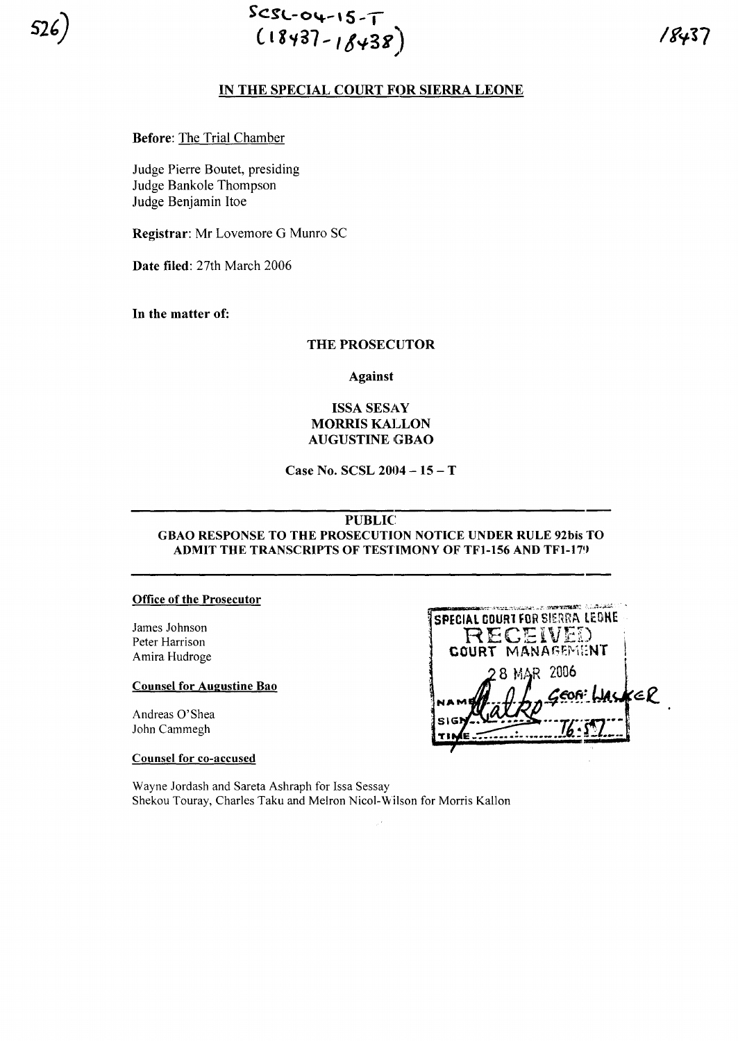

 $SCSC-04-15-T$  $(18437 - 18438)$ 

# IN THE SPECIAL COURT FOR SIERRA LEONE

**Before: The Trial Chamber** 

Judge Pierre Boutet, presiding Judge Bankole Thompson Judge Benjamin Itoe

Registrar: Mr Lovemore G Munro SC

Date filed: 27th March 2006

In the matter of:

### **THE PROSECUTOR**

**Against** 

# **ISSA SESAY MORRIS KALLON AUGUSTINE GBAO**

Case No. SCSL 2004 - 15 - T

### **PUBLIC**

GBAO RESPONSE TO THE PROSECUTION NOTICE UNDER RULE 92bis TO **ADMIT THE TRANSCRIPTS OF TESTIMONY OF TF1-156 AND TF1-179** 

#### **Office of the Prosecutor**

James Johnson Peter Harrison Amira Hudroge

## **Counsel for Augustine Bao**

Andreas O'Shea John Cammegh

**Counsel for co-accused** 

Wayne Jordash and Sareta Ashraph for Issa Sessay Shekou Touray, Charles Taku and Melron Nicol-Wilson for Morris Kallon

| 2. SYSTEMS STORES TO A LIGHT AND STORES<br><b>SPECIAL COURT FOR SIERRA LEONE</b><br>RECEIVEI<br>COURT MANAGEMENT |  |
|------------------------------------------------------------------------------------------------------------------|--|
| 28 MAR 2006                                                                                                      |  |
| GEOR WALKER                                                                                                      |  |
|                                                                                                                  |  |
|                                                                                                                  |  |